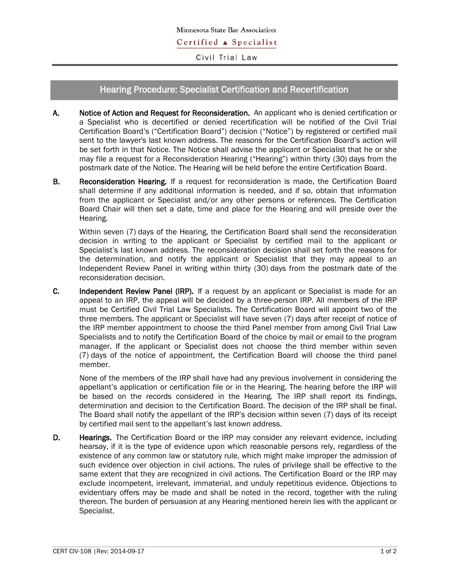Civil Trial Law

## Hearing Procedure: Specialist Certification and Recertification

- A. Notice of Action and Request for Reconsideration. An applicant who is denied certification or a Specialist who is decertified or denied recertification will be notified of the Civil Trial Certification Board's ("Certification Board") decision ("Notice") by registered or certified mail sent to the lawyer's last known address. The reasons for the Certification Board's action will be set forth in that Notice. The Notice shall advise the applicant or Specialist that he or she may file a request for a Reconsideration Hearing ("Hearing") within thirty (30) days from the postmark date of the Notice. The Hearing will be held before the entire Certification Board.
- B. Reconsideration Hearing. If a request for reconsideration is made, the Certification Board shall determine if any additional information is needed, and if so, obtain that information from the applicant or Specialist and/or any other persons or references. The Certification Board Chair will then set a date, time and place for the Hearing and will preside over the Hearing.

Within seven (7) days of the Hearing, the Certification Board shall send the reconsideration decision in writing to the applicant or Specialist by certified mail to the applicant or Specialist's last known address. The reconsideration decision shall set forth the reasons for the determination, and notify the applicant or Specialist that they may appeal to an Independent Review Panel in writing within thirty (30) days from the postmark date of the reconsideration decision.

C. Independent Review Panel (IRP). If a request by an applicant or Specialist is made for an appeal to an IRP, the appeal will be decided by a three-person IRP. All members of the IRP must be Certified Civil Trial Law Specialists. The Certification Board will appoint two of the three members. The applicant or Specialist will have seven (7) days after receipt of notice of the IRP member appointment to choose the third Panel member from among Civil Trial Law Specialists and to notify the Certification Board of the choice by mail or email to the program manager. If the applicant or Specialist does not choose the third member within seven (7) days of the notice of appointment, the Certification Board will choose the third panel member.

None of the members of the IRP shall have had any previous involvement in considering the appellant's application or certification file or in the Hearing. The hearing before the IRP will be based on the records considered in the Hearing*.* The IRP shall report its findings, determination and decision to the Certification Board. The decision of the IRP shall be final. The Board shall notify the appellant of the IRP's decision within seven (7) days of its receipt by certified mail sent to the appellant's last known address.

D. Hearings. The Certification Board or the IRP may consider any relevant evidence, including hearsay, if it is the type of evidence upon which reasonable persons rely, regardless of the existence of any common law or statutory rule, which might make improper the admission of such evidence over objection in civil actions. The rules of privilege shall be effective to the same extent that they are recognized in civil actions. The Certification Board or the IRP may exclude incompetent, irrelevant, immaterial, and unduly repetitious evidence. Objections to evidentiary offers may be made and shall be noted in the record, together with the ruling thereon. The burden of persuasion at any Hearing mentioned herein lies with the applicant or Specialist.